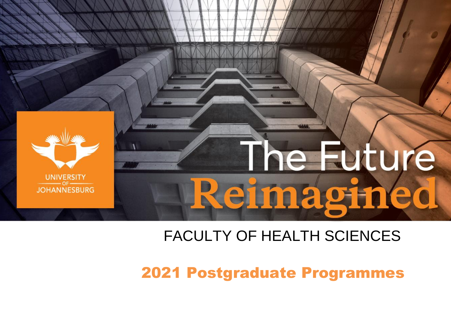

# FACULTY OF HEALTH SCIENCES

2021 Postgraduate Programmes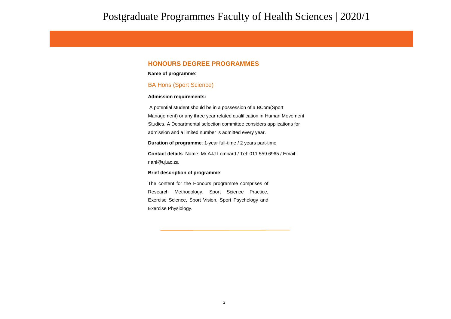## **HONOURS DEGREE PROGRAMMES**

### **Name of programme**:

### BA Hons (Sport Science)

### **Admission requirements:**

A potential student should be in a possession of a BCom(Sport Management) or any three year related qualification in Human Movement Studies. A Departmental selection committee considers applications for admission and a limited number is admitted every year.

### **Duration of programme**: 1-year full-time / 2 years part-time

**Contact details**: Name: Mr AJJ Lombard / Tel: 011 559 6965 / Email: rianl@uj.ac.za

### **Brief description of programme**:

The content for the Honours programme comprises of Research Methodology, Sport Science Practice, Exercise Science, Sport Vision, Sport Psychology and Exercise Physiology.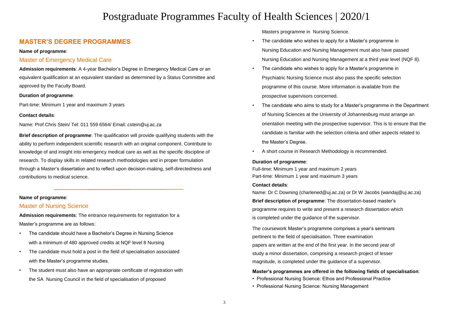## **MASTER'S DEGREE PROGRAMMES**

### **Name of programme**:

### Master of Emergency Medical Care

**Admission requirements**: A 4-year Bachelor's Degree in Emergency Medical Care or an equivalent qualification at an equivalent standard as determined by a Status Committee and approved by the Faculty Board.

### **Duration of programme**:

Part-time: Minimum 1 year and maximum 3 years

### **Contact details**:

[Name: Prof Chris Stein/ Tel: 011 559 6564/ Email: cstein@uj.ac.za](mailto:cstein@uj.ac.za)

**Brief description of programme**: The qualification will provide qualifying students with the ability to perform independent scientific research with an original component. Contribute to knowledge of and insight into emergency medical care as well as the specific discipline of research. To display skills in related research methodologies and in proper formulation through a Master's dissertation and to reflect upon decision-making, self-directedness and contributions to medical science.

### **Name of programme**:

### Master of Nursing Science

**Admission requirements**: The entrance requirements for registration for a Master's programme are as follows:

- The candidate should have a Bachelor's Degree in Nursing Science with a minimum of 480 approved credits at NQF level 8 Nursing
- The candidate must hold a post in the field of specialisation associated with the Master's programme studies.
- The student must also have an appropriate certificate of registration with the SA Nursing Council in the field of specialisation of proposed

Masters programme in Nursing Science.

- The candidate who wishes to apply for a Master's programme in Nursing Education and Nursing Management must also have passed Nursing Education and Nursing Management at a third year level (NQF 8).
- The candidate who wishes to apply for a Master's programme in Psychiatric Nursing Science must also pass the specific selection programme of this course. More information is available from the prospective supervisors concerned.
- The candidate who aims to study for a Master's programme in the Department of Nursing Sciences at the University of Johannesburg must arrange an orientation meeting with the prospective supervisor. This is to ensure that the candidate is familiar with the selection criteria and other aspects related to the Master's Degree.
- A short course in Research Methodology is recommended.

### **Duration of programme**:

Full-time: Minimum 1 year and maximum 2 years Part-time: Minimum 1 year and maximum 3 years

### **Contact details**:

[Name: Dr C Downing \(charlened@uj.ac.za\) or Dr W Jacobs \(wandaj@uj.ac.za\)](mailto:wandaj@uj.ac.za) **Brief description of programme**: The dissertation-based master's programme requires to write and present a research dissertation which is completed under the guidance of the supervisor.

The coursework Master's programme comprises a year's seminars pertinent to the field of specialisation. Three examination papers are written at the end of the first year. In the second year of study a minor dissertation, comprising a research project of lesser magnitude, is completed under the guidance of a supervisor.

### **Master's programmes are offered in the following fields of specialisation**:

- Professional Nursing Science: Ethos and Professional Practice
- Professional Nursing Science: Nursing Management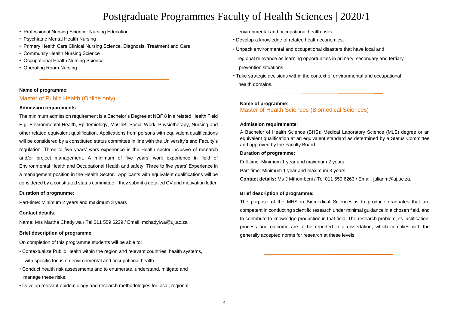- Professional Nursing Science: Nursing Education
- Psychiatric Mental Health Nursing
- Primary Health Care Clinical Nursing Science, Diagnosis, Treatment and Care
- Community Health Nursing Science
- Occupational Health Nursing Science
- Operating Room Nursing

### **Name of programme**:

## Master of Public Health (Online only)

### **Admission requirements**:

The minimum admission requirement is a Bachelor's Degree at NQF 8 in a related Health Field E.g. Environmental Health, Epidemiology, MbChB, Social Work, Physiotherapy, Nursing and other related equivalent qualification. Applications from persons with equivalent qualifications will be considered by a constituted status committee in line with the University's and Faculty's regulation. Three to five years' work experience in the Health sector inclusive of research and/or project management. A minimum of five years' work experience in field of Environmental Health and Occupational Health and safety. Three to five years' Experience in a management position in the Health Sector. Applicants with equivalent qualifications will be considered by a constituted status committee if they submit a detailed CV and motivation letter.

### **Duration of programme**:

Part-time: Minimum 2 years and maximum 3 years

### **Contact details**:

[Name: Mrs Martha Chadyiwa / Tel 011 559 6239 / Email: mchadyiwa@uj.ac.za](mailto:mchadyiwa@uj.ac.za)

### **Brief description of programme**:

On completion of this programme students will be able to:

- Contextualize Public Health within the region and relevant countries' health systems, with specific focus on environmental and occupational health.
- Conduct health risk assessments and to enumerate, understand, mitigate and manage these risks.
- Develop relevant epidemiology and research methodologies for local, regional

environmental and occupational health risks.

- Develop a knowledge of related health economies.
- Unpack environmental and occupational disasters that have local and regional relevance as learning opportunities in primary, secondary and tertiary prevention situations.
- Take strategic decisions within the context of environmental and occupational health domains.

### **Name of programme**:

Master of Health Sciences (Biomedical Sciences)

### **Admission requirements**:

A Bachelor of Health Science (BHS): Medical Laboratory Science (MLS) degree or an equivalent qualification at an equivalent standard as determined by a Status Committee and approved by the Faculty Board.

### **Duration of programme:**

Full-time: Minimum 1 year and maximum 2 years

Part-time: Minimum 1 year and maximum 3 years

**Contact details:** Ms J Mthombeni / Tel 011 559 6263 / Email: julianm@uj.ac.za.

### **Brief description of programme:**

The purpose of the MHS in Biomedical Sciences is to produce graduates that are competent in conducting scientific research under minimal guidance in a chosen field, and to contribute to knowledge production in that field. The research problem, its justification, process and outcome are to be reported in a dissertation, which complies with the generally accepted norms for research at these levels.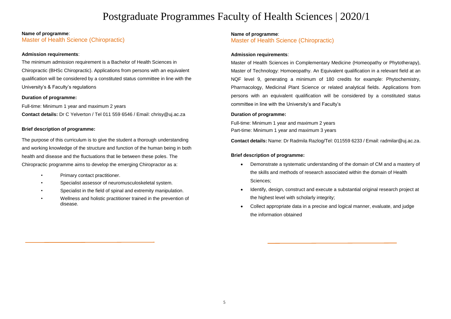### **Name of programme**:

Master of Health Science (Chiropractic)

### **Admission requirements**:

The minimum admission requirement is a Bachelor of Health Sciences in Chiropractic (BHSc Chiropractic). Applications from persons with an equivalent qualification will be considered by a constituted status committee in line with the University's & Faculty's regulations

### **Duration of programme:**

Full-time: Minimum 1 year and maximum 2 years **Contact details:** Dr C Yelverton / Tel 011 559 6546 / Email: chrisy@uj.ac.za

### **Brief description of programme:**

The purpose of this curriculum is to give the student a thorough understanding and working knowledge of the structure and function of the human being in both health and disease and the fluctuations that lie between these poles. The Chiropractic programme aims to develop the emerging Chiropractor as a:

- Primary contact practitioner.
- Specialist assessor of neuromusculoskeletal system.
- Specialist in the field of spinal and extremity manipulation.
- Wellness and holistic practitioner trained in the prevention of disease.

### **Master of Health Science (Chiropractic)** Master of Health Science (Environmental Health) **Name of programme**:

### **Admission requirements**:

Master of Health Sciences in Complementary Medicine (Homeopathy or Phytotherapy), Master of Technology: Homoeopathy. An Equivalent qualification in a relevant field at an NQF level 9, generating a minimum of 180 credits for example: Phytochemistry, Pharmacology, Medicinal Plant Science or related analytical fields. Applications from persons with an equivalent qualification will be considered by a constituted status committee in line with the University's and Faculty's

## **Duration of programme:**

Full-time: Minimum 1 year and maximum 2 years **Brief description of programme:** Part-time: Minimum 1 year and maximum 3 years

 $T_{\rm eff}$  studients with the knowledge and skills to conduct independent research research research research research research research research research research research research research research research research resea **Contact details:** Name: Dr Radmila Razlog/Tel: 011559 6233 / Email: radmilar@uj.ac.za.

## **formulate scientific problem solving settlem solving series and the application of programme:**

- Demonstrate a systematic understanding of the domain of CM and a mastery of the skills and methods of research associated within the domain of Health independent research to develop and advance the profession of Environmental Sciences;
- Identify, design, construct and execute a substantial original research project at the highest level with scholarly integrity;
- Collect appropriate data in a precise and logical manner, evaluate, and judge the information obtained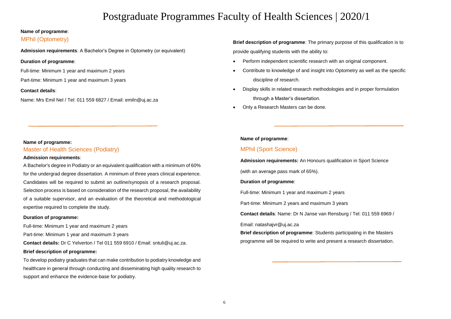### **Name of programme**:

## MPhil (Optometry)

**Admission requirements**: A Bachelor's Degree in Optometry (or equivalent)

### **Duration of programme**:

Full-time: Minimum 1 year and maximum 2 years

Part-time: Minimum 1 year and maximum 3 years

### **Contact details**:

[Name: Mrs Emil Nel / Tel: 011 559 6827 / Email: emiln@uj.ac.za](mailto:emiln@uj.ac.za)

## **Brief description of programme**: The primary purpose of this qualification is to provide qualifying students with the ability to:

- Perform independent scientific research with an original component.
- Contribute to knowledge of and insight into Optometry as well as the specific discipline of research.
- Display skills in related research methodologies and in proper formulation through a Master's dissertation.
- Only a Research Masters can be done.

### **Name of programme:**

Master of Health Sciences (Podiatry)

### **Admission requirements**:

A Bachelor's degree in Podiatry or an equivalent qualification with a minimum of 60% for the undergrad degree dissertation. A minimum of three years clinical experience. Candidates will be required to submit an outline/synopsis of a research proposal. Selection process is based on consideration of the research proposal, the availability of a suitable supervisor, and an evaluation of the theoretical and methodological expertise required to complete the study.

### **Duration of programme:**

Full-time: Minimum 1 year and maximum 2 years Part-time: Minimum 1 year and maximum 3 years **Contact details:** Dr C Yelverton / Tel 011 559 6910 / Email: sntuli@uj.ac.za.

### **Brief description of programme:**

To develop podiatry graduates that can make contribution to podiatry knowledge and healthcare in general through conducting and disseminating high quality research to support and enhance the evidence-base for podiatry.

### **Name of programme**:

## MPhil (Sport Science)

### **Admission requirements:** An Honours qualification in Sport Science

(with an average pass mark of 65%).

### **Duration of programme**:

Full-time: Minimum 1 year and maximum 2 years

Part-time: Minimum 2 years and maximum 3 years

**Contact details**: Name: Dr N Janse van Rensburg / Tel: 011 559 6969 /

### Email: natashajvr@uj.ac.za

**Brief description of programme**: Students participating in the Masters programme will be required to write and present a research dissertation.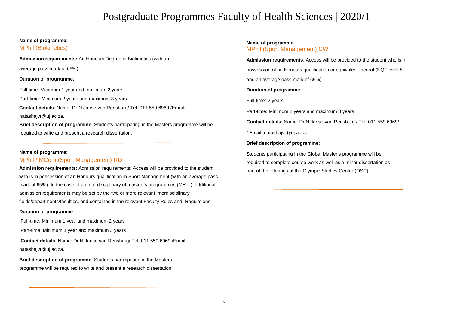## **Name of programme**:

## MPhil (Biokinetics)

**Admission requirements:** An Honours Degree in Biokinetics (with an average pass mark of 65%).

### **Duration of programme**:

Full-time: Minimum 1 year and maximum 2 years

Part-time: Minimum 2 years and maximum 3 years

**Contact details**: Name: Dr N Janse van Rensburg/ Tel: 011 559 6969 /Email: natashajvr@uj.ac.za.

**Brief description of programme**: Students participating in the Masters programme will be required to write and present a research dissertation.

### **Name of programme**:

## MPhil / MCom (Sport Management) RD

**Admission requirements**: Admission requirements: Access will be provided to the student who is in possession of an Honours qualification in Sport Management (with an average pass mark of 65%). In the case of an interdisciplinary of master 's programmes (MPhil), additional admission requirements may be set by the two or more relevant interdisciplinary fields/departments/faculties, and contained in the relevant Faculty Rules and Regulations.

### **Duration of programme**:

Full-time: Minimum 1 year and maximum 2 years

Part-time: Minimum 1 year and maximum 3 years

**Contact details**: Name: Dr N Janse van Rensburg/ Tel: 011 559 6969 /Email: natashajvr@uj.ac.za.

**Brief description of programme**: Students participating in the Masters programme will be required to write and present a research dissertation.

### **Name of programme**: MPhil (Sport Management) CW

**Admission requirements**: Access will be provided to the student who is in possession of an Honours qualification or equivalent thereof (NQF level 8 and an average pass mark of 65%).

### **Duration of programme**:

Full-time: 2 years

Part-time: Minimum 2 years and maximum 3 years

**Contact details**: Name: Dr N Janse van Rensburg / Tel: 011 559 6969/

/ Email: natashajvr@uj.ac.za

### **Brief description of programme**:

Students participating in the Global Master's programme will be required to complete course work as well as a minor dissertation as part of the offerings of the Olympic Studies Centre (OSC).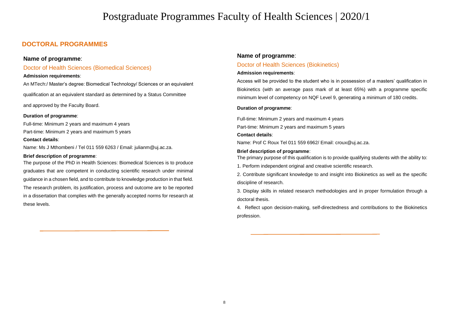## **DOCTORAL PROGRAMMES**

## **Name of programme**:

## Doctor of Health Sciences (Biomedical Sciences)

### **Admission requirements**:

An MTech:/ Master's degree: Biomedical Technology/ Sciences or an equivalent

qualification at an equivalent standard as determined by a Status Committee

and approved by the Faculty Board.

### **Duration of programme**:

Full-time: Minimum 2 years and maximum 4 years Part-time: Minimum 2 years and maximum 5 years

### **Contact details**:

Name: Ms J Mthombeni / Tel 011 559 6263 / Email: julianm@uj.ac.za.

### **Brief description of programme**:

The purpose of the PhD in Health Sciences: Biomedical Sciences is to produce graduates that are competent in conducting scientific research under minimal guidance in a chosen field, and to contribute to knowledge production in that field. The research problem, its justification, process and outcome are to be reported in a dissertation that complies with the generally accepted norms for research at these levels.

### **Name of programme**:

### Doctor of Health Sciences (Biokinetics)

### **Admission requirements**:

Access will be provided to the student who is in possession of a masters' qualification in Biokinetics (with an average pass mark of at least 65%) with a programme specific minimum level of competency on NQF Level 9, generating a minimum of 180 credits.

### **Duration of programme**:

Full-time: Minimum 2 years and maximum 4 years Part-time: Minimum 2 years and maximum 5 years

### **Contact details**:

Name: Prof C Roux Tel 011 559 6962/ Email: croux@uj.ac.za.

### **Brief description of programme**:

The primary purpose of this qualification is to provide qualifying students with the ability to:

1. Perform independent original and creative scientific research.

2. Contribute significant knowledge to and insight into Biokinetics as well as the specific discipline of research.

3. Display skills in related research methodologies and in proper formulation through a doctoral thesis.

4. Reflect upon decision-making, self-directedness and contributions to the Biokinetics profession.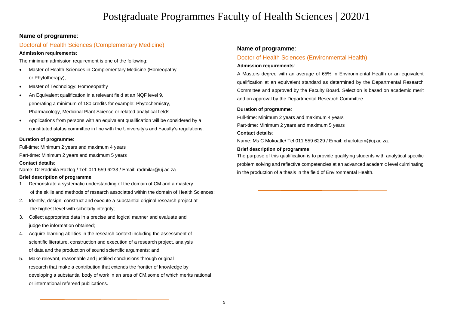## **Name of programme**:

## Doctoral of Health Sciences (Complementary Medicine)

### **Admission requirements**:

The minimum admission requirement is one of the following:

- Master of Health Sciences in Complementary Medicine (Homeopathy or Phytotherapy),
- Master of Technology: Homoeopathy
- An Equivalent qualification in a relevant field at an NQF level 9, generating a minimum of 180 credits for example: Phytochemistry, Pharmacology, Medicinal Plant Science or related analytical fields.
- Applications from persons with an equivalent qualification will be considered by a constituted status committee in line with the University's and Faculty's regulations.

### **Duration of programme**:

Full-time: Minimum 2 years and maximum 4 years

Part-time: Minimum 2 years and maximum 5 years

## **Contact details**:

Name: Dr Radmila Razlog / Tel: 011 559 6233 / Email: radmilar@uj.ac.za

## **Brief description of programme**:

- 1. Demonstrate a systematic understanding of the domain of CM and a mastery of the skills and methods of research associated within the domain of Health Sciences;
- 2. Identify, design, construct and execute a substantial original research project at the highest level with scholarly integrity;
- 3. Collect appropriate data in a precise and logical manner and evaluate and judge the information obtained;
- 4. Acquire learning abilities in the research context including the assessment of scientific literature, construction and execution of a research project, analysis of data and the production of sound scientific arguments; and
- 5. Make relevant, reasonable and justified conclusions through original research that make a contribution that extends the frontier of knowledge by developing a substantial body of work in an area of CM,some of which merits national or international refereed publications.

## **Name of programme**:

## Doctor of Health Sciences (Environmental Health)

## **Admission requirements**:

A Masters degree with an average of 65% in Environmental Health or an equivalent qualification at an equivalent standard as determined by the Departmental Research Committee and approved by the Faculty Board. Selection is based on academic merit and on approval by the Departmental Research Committee.

### **Duration of programme**:

Full-time: Minimum 2 years and maximum 4 years Part-time: Minimum 2 years and maximum 5 years

### **Contact details**:

Name: Ms C Mokoatle/ Tel 011 559 6229 / Email: charlottem@uj.ac.za.

### **Brief description of programme**:

The purpose of this qualification is to provide qualifying students with analytical specific problem solving and reflective competencies at an advanced academic level culminating in the production of a thesis in the field of Environmental Health.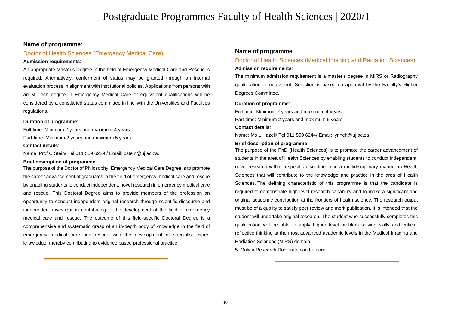### **Name of programme**:

## Doctor of Health Sciences (Emergency Medical Care)

### **Admission requirements**:

An appropriate Master's Degree in the field of Emergency Medical Care and Rescue is required. Alternatively, conferment of status may be granted through an internal evaluation process in alignment with institutional policies. Applications from persons with an M Tech degree in Emergency Medical Care or equivalent qualifications will be considered by a constituted status committee in line with the Universities and Faculties regulations.

### **Duration of programme**:

Full-time: Minimum 2 years and maximum 4 years Part-time: Minimum 2 years and maximum 5 years

#### **Contact details**:

Name: Prof C Stein/ Tel 011 559 6229 / Email: cstein@uj.ac.za.

#### **Brief description of programme**:

The purpose of the Doctor of Philosophy: Emergency Medical Care Degree is to promote the career advancement of graduates in the field of emergency medical care and rescue by enabling students to conduct independent, novel research in emergency medical care and rescue. This Doctoral Degree aims to provide members of the profession an opportunity to conduct independent original research through scientific discourse and independent investigation contributing to the development of the field of emergency medical care and rescue. The outcome of this field-specific Doctoral Degree is a comprehensive and systematic grasp of an in-depth body of knowledge in the field of emergency medical care and rescue with the development of specialist expert knowledge, thereby contributing to evidence based professional practice.

### **Name of programme**:

## Doctor of Health Sciences (Medical Imaging and Radiation Sciences) **Admission requirements**:

The minimum admission requirement is a master's degree in MIRS or Radiography qualification or equivalent. Selection is based on approval by the Faculty's Higher Degrees Committee.

### **Duration of programme**:

Full-time: Minimum 2 years and maximum 4 years Part-time: Minimum 2 years and maximum 5 years

#### **Contact details**:

Name: Ms L Hazell/ Tel 011 559 6244/ Email: lynneh@uj.ac.za

#### **Brief description of programme**:

The purpose of the PhD (Health Sciences) is to promote the career advancement of students in the area of Health Sciences by enabling students to conduct independent, novel research within a specific discipline or in a multidisciplinary manner in Health Sciences that will contribute to the knowledge and practice in the area of Health Sciences. The defining characteristic of this programme is that the candidate is required to demonstrate high level research capability and to make a significant and original academic contribution at the frontiers of health science. The research output must be of a quality to satisfy peer review and merit publication. It is intended that the student will undertake original research. The student who successfully completes this qualification will be able to apply higher level problem solving skills and critical, reflective thinking at the most advanced academic levels in the Medical Imaging and Radiation Sciences (MIRS) domain

5. Only a Research Doctorate can be done.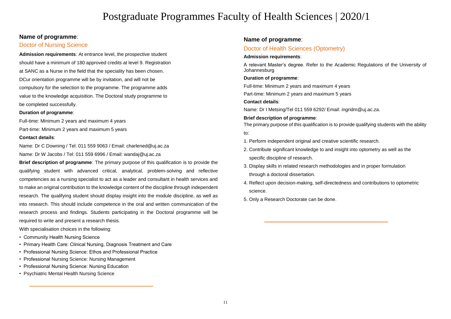## **Name of programme**:

## Doctor of Nursing Science

**Admission requirements**: At entrance level, the prospective student should have a minimum of 180 approved credits at level 9. Registration at SANC as a Nurse in the field that the speciality has been chosen. DCur orientation programme will be by invitation, and will not be compulsory for the selection to the programme. The programme adds value to the knowledge acquisition. The Doctoral study programme to be completed successfully.

### **Duration of programme**:

Full-time: Minimum 2 years and maximum 4 years Part-time: Minimum 2 years and maximum 5 years **Contact details**:

[Name: Dr C Downing / Tel: 011 559 9063 / Email: charlened@uj.ac.za](mailto:charlened@uj.ac.za) [Name: Dr W Jacobs / Tel: 011 559 6996 / Email: wandaj@uj.ac.za](mailto:wandaj@uj.ac.za)

**Brief description of programme**: The primary purpose of this qualification is to provide the qualifying student with advanced critical, analytical, problem-solving and reflective competencies as a nursing specialist to act as a leader and consultant in health services and to make an original contribution to the knowledge content of the discipline through independent research. The qualifying student should display insight into the module discipline, as well as into research. This should include competence in the oral and written communication of the research process and findings. Students participating in the Doctoral programme will be required to write and present a research thesis.

With specialisation choices in the following:

- Community Health Nursing Science
- Primary Health Care: Clinical Nursing, Diagnosis Treatment and Care
- Professional Nursing Science: Ethos and Professional Practice
- Professional Nursing Science: Nursing Management
- Professional Nursing Science: Nursing Education
- Psychiatric Mental Health Nursing Science

### **Name of programme**:

## Doctor of Health Sciences (Optometry)

### **Admission requirements**:

A relevant Master's degree. Refer to the Academic Regulations of the University of Johannesburg

### **Duration of programme**:

Full-time: Minimum 2 years and maximum 4 years

Part-time: Minimum 2 years and maximum 5 years

### **Contact details**:

Name: Dr I Metsing/Tel 011 559 6292/ Email: ingridm@uj.ac.za.

**Brief description of programme**: The primary purpose of this qualification is to provide qualifying students with the ability to:

- 1. Perform independent original and creative scientific research.
- 2. Contribute significant knowledge to and insight into optometry as well as the specific discipline of research.
- 3. Display skills in related research methodologies and in proper formulation through a doctoral dissertation.
- 4. Reflect upon decision-making, self-directedness and contributions to optometric science.
- 5. Only a Research Doctorate can be done.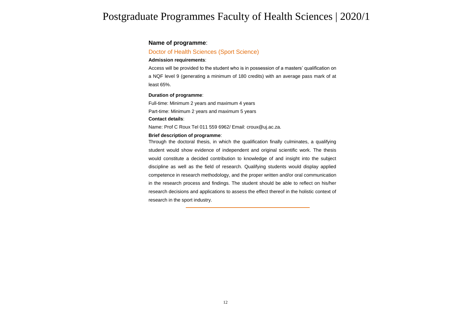## **Name of programme**:

### Doctor of Health Sciences (Sport Science)

#### **Admission requirements**:

Access will be provided to the student who is in possession of a masters' qualification on a NQF level 9 (generating a minimum of 180 credits) with an average pass mark of at least 65%.

#### **Duration of programme**:

Full-time: Minimum 2 years and maximum 4 years Part-time: Minimum 2 years and maximum 5 years **Contact details**:

Name: Prof C Roux Tel 011 559 6962/ Email: croux@uj.ac.za.

#### **Brief description of programme**:

Through the doctoral thesis, in which the qualification finally culminates, a qualifying student would show evidence of independent and original scientific work. The thesis would constitute a decided contribution to knowledge of and insight into the subject discipline as well as the field of research. Qualifying students would display applied competence in research methodology, and the proper written and/or oral communication in the research process and findings. The student should be able to reflect on his/her research decisions and applications to assess the effect thereof in the holistic context of research in the sport industry.